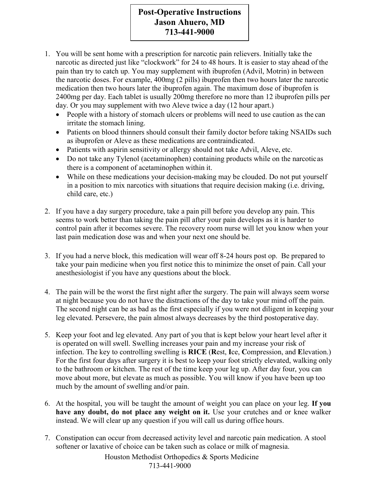## **Post-Operative Instructions Jason Ahuero, MD** 713-441-9000

- 1. You will be sent home with a prescription for narcotic pain relievers. Initially take the narcotic as directed just like "clockwork" for 24 to 48 hours. It is easier to stay ahead of the pain than try to catch up. You may supplement with ibuprofen (Advil, Motrin) in between the narcotic doses. For example, 400mg (2 pills) ibuprofen then two hours later the narcotic medication then two hours later the ibuprofen again. The maximum dose of ibuprofen is 2400mg per day. Each tablet is usually 200mg therefore no more than 12 ibuprofen pills per day. Or you may supplement with two Aleve twice a day (12 hour apart.)
	- People with a history of stomach ulcers or problems will need to use caution as the can irritate the stomach lining.
	- Patients on blood thinners should consult their family doctor before taking NSAIDs such as ibuprofen or Aleve as these medications are contraindicated.
	- Patients with aspirin sensitivity or allergy should not take Advil, Aleve, etc.
	- Do not take any Tylenol (acetaminophen) containing products while on the narcotic as there is a component of acetaminophen within it.
	- While on these medications your decision-making may be clouded. Do not put yourself in a position to mix narcotics with situations that require decision making (i.e. driving, child care, etc.)
- 2. If you have a day surgery procedure, take a pain pill before you develop any pain. This seems to work better than taking the pain pill after your pain develops as it is harder to control pain after it becomes severe. The recovery room nurse will let you know when your last pain medication dose was and when your next one should be.
- 3. If you had a nerve block, this medication will wear off 8-24 hours post op. Be prepared to take your pain medicine when you first notice this to minimize the onset of pain. Call your an esthesiologist if you have any questions about the block.
- 4. The pain will be the worst the first night after the surgery. The pain will always seem worse at night because you do not have the distractions of the day to take your mind off the pain. The second night can be as bad as the first especially if you were not diligent in keeping your leg elevated. Persevere, the pain almost always decreases by the third postoperative day.
- 5. Keep your foot and leg elevated. Any part of you that is kept below your heart level after it is operated on will swell. Swelling increases your pain and my increase your risk of infection. The key to controlling swelling is **RICE** (Rest, Ice, Compression, and Elevation.) For the first four days after surgery it is best to keep your foot strictly elevated, walking only to the bathroom or kitchen. The rest of the time keep your leg up. After day four, you can move about more, but elevate as much as possible. You will know if you have been up too much by the amount of swelling and/or pain.
- 6. At the hospital, you will be taught the amount of weight you can place on your leg. If you have any doubt, do not place any weight on it. Use your crutches and or knee walker instead. We will clear up any question if you will call us during office hours.
- 7. Constipation can occur from decreased activity level and narcotic pain medication. A stool softener or laxative of choice can be taken such as colace or milk of magnesia.

Houston Methodist Orthopedics & Sports Medicine 713-441-9000